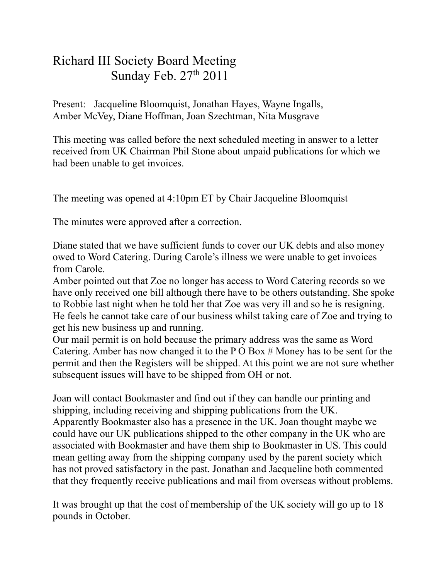## Richard III Society Board Meeting Sunday Feb. 27th 2011

Present: Jacqueline Bloomquist, Jonathan Hayes, Wayne Ingalls, Amber McVey, Diane Hoffman, Joan Szechtman, Nita Musgrave

This meeting was called before the next scheduled meeting in answer to a letter received from UK Chairman Phil Stone about unpaid publications for which we had been unable to get invoices.

The meeting was opened at 4:10pm ET by Chair Jacqueline Bloomquist

The minutes were approved after a correction.

Diane stated that we have sufficient funds to cover our UK debts and also money owed to Word Catering. During Carole's illness we were unable to get invoices from Carole.

Amber pointed out that Zoe no longer has access to Word Catering records so we have only received one bill although there have to be others outstanding. She spoke to Robbie last night when he told her that Zoe was very ill and so he is resigning. He feels he cannot take care of our business whilst taking care of Zoe and trying to get his new business up and running.

Our mail permit is on hold because the primary address was the same as Word Catering. Amber has now changed it to the P O Box # Money has to be sent for the permit and then the Registers will be shipped. At this point we are not sure whether subsequent issues will have to be shipped from OH or not.

Joan will contact Bookmaster and find out if they can handle our printing and shipping, including receiving and shipping publications from the UK. Apparently Bookmaster also has a presence in the UK. Joan thought maybe we could have our UK publications shipped to the other company in the UK who are associated with Bookmaster and have them ship to Bookmaster in US. This could mean getting away from the shipping company used by the parent society which has not proved satisfactory in the past. Jonathan and Jacqueline both commented that they frequently receive publications and mail from overseas without problems.

It was brought up that the cost of membership of the UK society will go up to 18 pounds in October.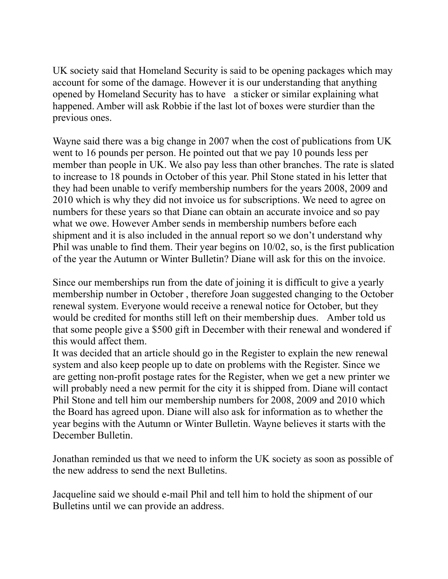UK society said that Homeland Security is said to be opening packages which may account for some of the damage. However it is our understanding that anything opened by Homeland Security has to have a sticker or similar explaining what happened. Amber will ask Robbie if the last lot of boxes were sturdier than the previous ones.

Wayne said there was a big change in 2007 when the cost of publications from UK went to 16 pounds per person. He pointed out that we pay 10 pounds less per member than people in UK. We also pay less than other branches. The rate is slated to increase to 18 pounds in October of this year. Phil Stone stated in his letter that they had been unable to verify membership numbers for the years 2008, 2009 and 2010 which is why they did not invoice us for subscriptions. We need to agree on numbers for these years so that Diane can obtain an accurate invoice and so pay what we owe. However Amber sends in membership numbers before each shipment and it is also included in the annual report so we don't understand why Phil was unable to find them. Their year begins on 10/02, so, is the first publication of the year the Autumn or Winter Bulletin? Diane will ask for this on the invoice.

Since our memberships run from the date of joining it is difficult to give a yearly membership number in October , therefore Joan suggested changing to the October renewal system. Everyone would receive a renewal notice for October, but they would be credited for months still left on their membership dues. Amber told us that some people give a \$500 gift in December with their renewal and wondered if this would affect them.

It was decided that an article should go in the Register to explain the new renewal system and also keep people up to date on problems with the Register. Since we are getting non-profit postage rates for the Register, when we get a new printer we will probably need a new permit for the city it is shipped from. Diane will contact Phil Stone and tell him our membership numbers for 2008, 2009 and 2010 which the Board has agreed upon. Diane will also ask for information as to whether the year begins with the Autumn or Winter Bulletin. Wayne believes it starts with the December Bulletin.

Jonathan reminded us that we need to inform the UK society as soon as possible of the new address to send the next Bulletins.

Jacqueline said we should e-mail Phil and tell him to hold the shipment of our Bulletins until we can provide an address.